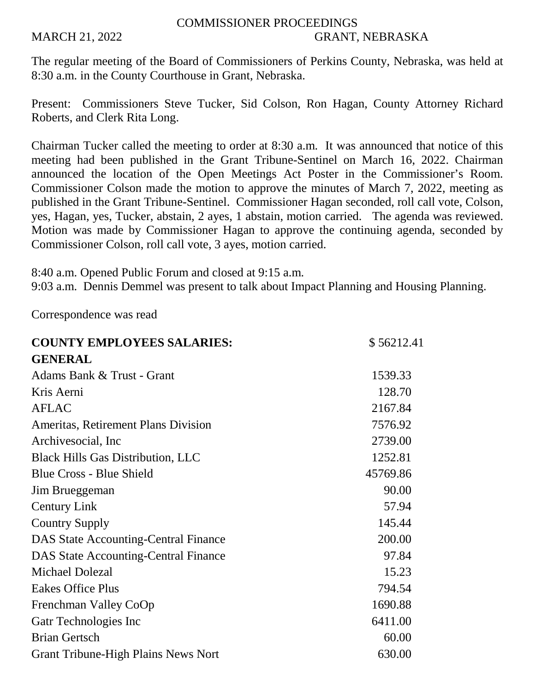## COMMISSIONER PROCEEDINGS MARCH 21, 2022 GRANT, NEBRASKA

The regular meeting of the Board of Commissioners of Perkins County, Nebraska, was held at 8:30 a.m. in the County Courthouse in Grant, Nebraska.

Present: Commissioners Steve Tucker, Sid Colson, Ron Hagan, County Attorney Richard Roberts, and Clerk Rita Long.

Chairman Tucker called the meeting to order at 8:30 a.m. It was announced that notice of this meeting had been published in the Grant Tribune-Sentinel on March 16, 2022. Chairman announced the location of the Open Meetings Act Poster in the Commissioner's Room. Commissioner Colson made the motion to approve the minutes of March 7, 2022, meeting as published in the Grant Tribune-Sentinel. Commissioner Hagan seconded, roll call vote, Colson, yes, Hagan, yes, Tucker, abstain, 2 ayes, 1 abstain, motion carried. The agenda was reviewed. Motion was made by Commissioner Hagan to approve the continuing agenda, seconded by Commissioner Colson, roll call vote, 3 ayes, motion carried.

8:40 a.m. Opened Public Forum and closed at 9:15 a.m.

9:03 a.m. Dennis Demmel was present to talk about Impact Planning and Housing Planning.

Correspondence was read

| <b>COUNTY EMPLOYEES SALARIES:</b>           | \$56212.41 |
|---------------------------------------------|------------|
| <b>GENERAL</b>                              |            |
| Adams Bank & Trust - Grant                  | 1539.33    |
| Kris Aerni                                  | 128.70     |
| <b>AFLAC</b>                                | 2167.84    |
| <b>Ameritas, Retirement Plans Division</b>  | 7576.92    |
| Archivesocial, Inc.                         | 2739.00    |
| <b>Black Hills Gas Distribution, LLC</b>    | 1252.81    |
| <b>Blue Cross - Blue Shield</b>             | 45769.86   |
| Jim Brueggeman                              | 90.00      |
| <b>Century Link</b>                         | 57.94      |
| <b>Country Supply</b>                       | 145.44     |
| <b>DAS State Accounting-Central Finance</b> | 200.00     |
| <b>DAS State Accounting-Central Finance</b> | 97.84      |
| <b>Michael Dolezal</b>                      | 15.23      |
| <b>Eakes Office Plus</b>                    | 794.54     |
| Frenchman Valley CoOp                       | 1690.88    |
| Gatr Technologies Inc                       | 6411.00    |
| <b>Brian Gertsch</b>                        | 60.00      |
| <b>Grant Tribune-High Plains News Nort</b>  | 630.00     |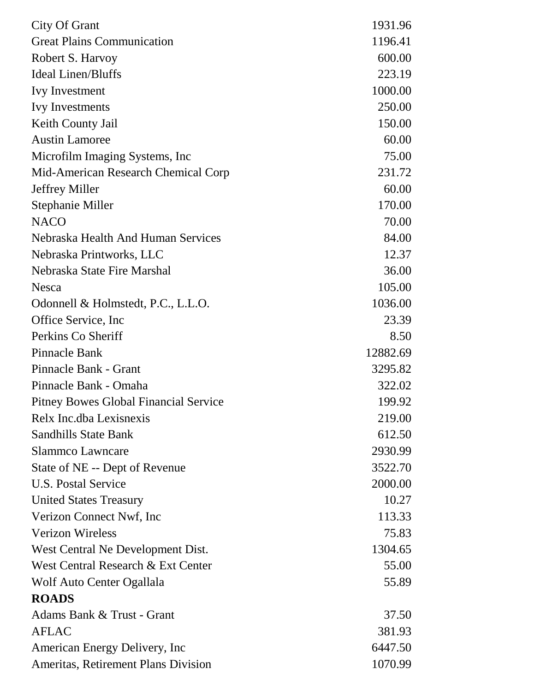| City Of Grant                                | 1931.96  |
|----------------------------------------------|----------|
| <b>Great Plains Communication</b>            | 1196.41  |
| Robert S. Harvoy                             | 600.00   |
| <b>Ideal Linen/Bluffs</b>                    | 223.19   |
| <b>Ivy Investment</b>                        | 1000.00  |
| <b>Ivy Investments</b>                       | 250.00   |
| Keith County Jail                            | 150.00   |
| <b>Austin Lamoree</b>                        | 60.00    |
| Microfilm Imaging Systems, Inc.              | 75.00    |
| Mid-American Research Chemical Corp          | 231.72   |
| <b>Jeffrey Miller</b>                        | 60.00    |
| <b>Stephanie Miller</b>                      | 170.00   |
| <b>NACO</b>                                  | 70.00    |
| Nebraska Health And Human Services           | 84.00    |
| Nebraska Printworks, LLC                     | 12.37    |
| Nebraska State Fire Marshal                  | 36.00    |
| <b>Nesca</b>                                 | 105.00   |
| Odonnell & Holmstedt, P.C., L.L.O.           | 1036.00  |
| Office Service, Inc.                         | 23.39    |
| Perkins Co Sheriff                           | 8.50     |
| Pinnacle Bank                                | 12882.69 |
| Pinnacle Bank - Grant                        | 3295.82  |
| Pinnacle Bank - Omaha                        | 322.02   |
| <b>Pitney Bowes Global Financial Service</b> | 199.92   |
| Relx Inc.dba Lexisnexis                      | 219.00   |
| <b>Sandhills State Bank</b>                  | 612.50   |
| <b>Slammco Lawncare</b>                      | 2930.99  |
| State of NE -- Dept of Revenue               | 3522.70  |
| U.S. Postal Service                          | 2000.00  |
| <b>United States Treasury</b>                | 10.27    |
| Verizon Connect Nwf, Inc.                    | 113.33   |
| <b>Verizon Wireless</b>                      | 75.83    |
| West Central Ne Development Dist.            | 1304.65  |
| West Central Research & Ext Center           | 55.00    |
| Wolf Auto Center Ogallala                    | 55.89    |
| <b>ROADS</b>                                 |          |
| Adams Bank & Trust - Grant                   | 37.50    |
| <b>AFLAC</b>                                 | 381.93   |
| American Energy Delivery, Inc                | 6447.50  |
| Ameritas, Retirement Plans Division          | 1070.99  |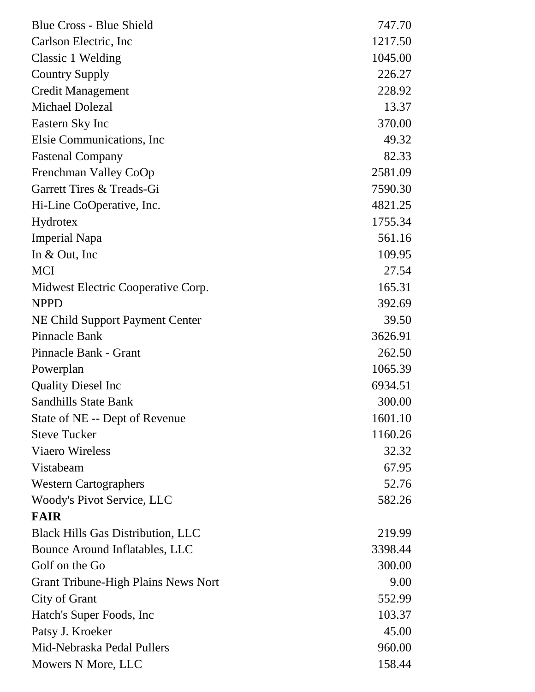| <b>Blue Cross - Blue Shield</b>            | 747.70  |
|--------------------------------------------|---------|
| Carlson Electric, Inc.                     | 1217.50 |
| Classic 1 Welding                          | 1045.00 |
| <b>Country Supply</b>                      | 226.27  |
| <b>Credit Management</b>                   | 228.92  |
| <b>Michael Dolezal</b>                     | 13.37   |
| Eastern Sky Inc                            | 370.00  |
| Elsie Communications, Inc.                 | 49.32   |
| <b>Fastenal Company</b>                    | 82.33   |
| Frenchman Valley CoOp                      | 2581.09 |
| Garrett Tires & Treads-Gi                  | 7590.30 |
| Hi-Line CoOperative, Inc.                  | 4821.25 |
| Hydrotex                                   | 1755.34 |
| <b>Imperial Napa</b>                       | 561.16  |
| In $& Out, Inc$                            | 109.95  |
| <b>MCI</b>                                 | 27.54   |
| Midwest Electric Cooperative Corp.         | 165.31  |
| <b>NPPD</b>                                | 392.69  |
| NE Child Support Payment Center            | 39.50   |
| Pinnacle Bank                              | 3626.91 |
| Pinnacle Bank - Grant                      | 262.50  |
| Powerplan                                  | 1065.39 |
| <b>Quality Diesel Inc</b>                  | 6934.51 |
| <b>Sandhills State Bank</b>                | 300.00  |
| State of NE -- Dept of Revenue             | 1601.10 |
| <b>Steve Tucker</b>                        | 1160.26 |
| <b>Viaero Wireless</b>                     | 32.32   |
| Vistabeam                                  | 67.95   |
| <b>Western Cartographers</b>               | 52.76   |
| Woody's Pivot Service, LLC                 | 582.26  |
| <b>FAIR</b>                                |         |
| <b>Black Hills Gas Distribution, LLC</b>   | 219.99  |
| Bounce Around Inflatables, LLC             | 3398.44 |
| Golf on the Go                             | 300.00  |
| <b>Grant Tribune-High Plains News Nort</b> | 9.00    |
| City of Grant                              | 552.99  |
| Hatch's Super Foods, Inc                   | 103.37  |
| Patsy J. Kroeker                           | 45.00   |
| Mid-Nebraska Pedal Pullers                 | 960.00  |
| Mowers N More, LLC                         | 158.44  |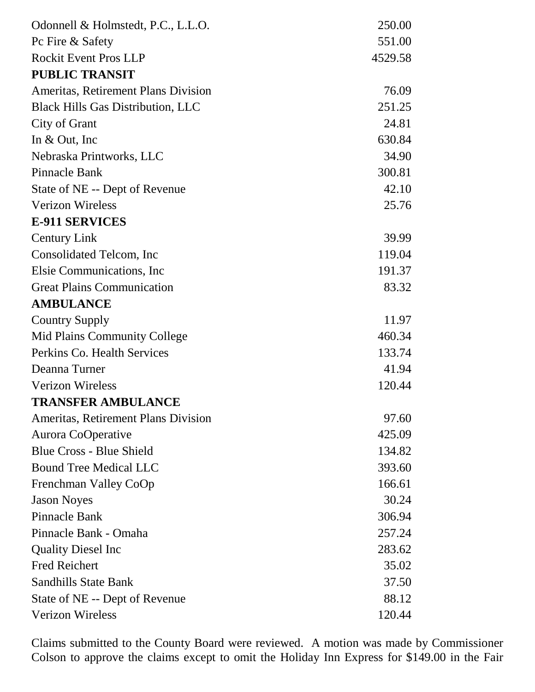| Odonnell & Holmstedt, P.C., L.L.O.       | 250.00  |
|------------------------------------------|---------|
| Pc Fire & Safety                         | 551.00  |
| <b>Rockit Event Pros LLP</b>             | 4529.58 |
| <b>PUBLIC TRANSIT</b>                    |         |
| Ameritas, Retirement Plans Division      | 76.09   |
| <b>Black Hills Gas Distribution, LLC</b> | 251.25  |
| City of Grant                            | 24.81   |
| In $&$ Out, Inc                          | 630.84  |
| Nebraska Printworks, LLC                 | 34.90   |
| <b>Pinnacle Bank</b>                     | 300.81  |
| State of NE -- Dept of Revenue           | 42.10   |
| <b>Verizon Wireless</b>                  | 25.76   |
| <b>E-911 SERVICES</b>                    |         |
| <b>Century Link</b>                      | 39.99   |
| Consolidated Telcom, Inc.                | 119.04  |
| Elsie Communications, Inc.               | 191.37  |
| <b>Great Plains Communication</b>        | 83.32   |
| <b>AMBULANCE</b>                         |         |
| <b>Country Supply</b>                    | 11.97   |
| Mid Plains Community College             | 460.34  |
| Perkins Co. Health Services              | 133.74  |
| Deanna Turner                            | 41.94   |
| <b>Verizon Wireless</b>                  | 120.44  |
| <b>TRANSFER AMBULANCE</b>                |         |
| Ameritas, Retirement Plans Division      | 97.60   |
| Aurora CoOperative                       | 425.09  |
| <b>Blue Cross - Blue Shield</b>          | 134.82  |
| <b>Bound Tree Medical LLC</b>            | 393.60  |
| Frenchman Valley CoOp                    | 166.61  |
| <b>Jason Noyes</b>                       | 30.24   |
| Pinnacle Bank                            | 306.94  |
| Pinnacle Bank - Omaha                    | 257.24  |
| <b>Quality Diesel Inc</b>                | 283.62  |
| <b>Fred Reichert</b>                     | 35.02   |
| <b>Sandhills State Bank</b>              | 37.50   |
| State of NE -- Dept of Revenue           | 88.12   |
| <b>Verizon Wireless</b>                  | 120.44  |

Claims submitted to the County Board were reviewed. A motion was made by Commissioner Colson to approve the claims except to omit the Holiday Inn Express for \$149.00 in the Fair